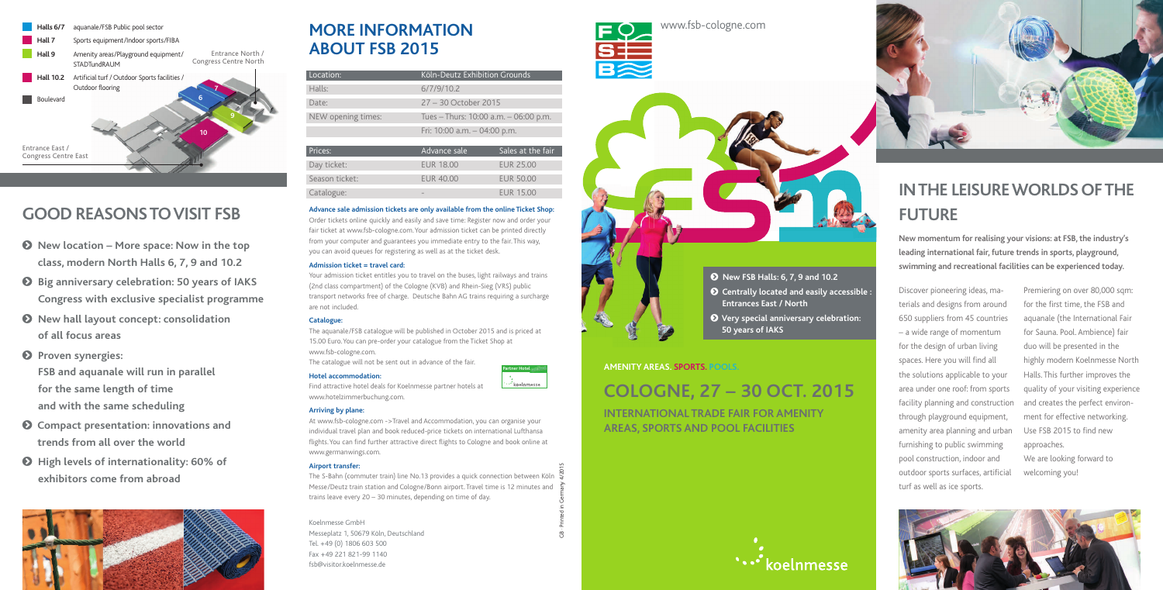

## **MORE INFORMATION ABOUT FSB 2015**

 Koelnmesse GmbH Messeplatz 1, 50679 Köln, Deutschland Tel. +49 (0) 1806 603 500 Fax +49 221 821-99 1140 fsb@visitor.koelnmesse.de



www.fsb-cologne.com

## **COLOGNE, 27 – 30 OCT. 2015**

**INTERNATIONAL TRADE FAIR FOR AMENITY AREAS, SPORTS AND POOL FACILITIES**





### **AMENITY AREAS. SPORTS. POOLS.**

- - **New FSB Halls: 6, 7, 9 and 10.2**
- - **Centrally located and easily accessible : Entrances East / North**
- - **Very special anniversary celebration: 50 years of IAKS**

## **GOOD REASONS TO VISIT FSB**

- $\odot$  New location More space: Now in the top **class, modern North Halls 6, 7, 9 and 10.2**
- **Big anniversary celebration: 50 years of IAKS Congress with exclusive specialist programme**
- **New hall layout concept: consolidation of all focus areas**
- **8** Proven synergies:



**FSB and aquanale will run in parallel for the same length of time and with the same scheduling**

- **Compact presentation: innovations and trends from all over the world**
- **High levels of internationality: 60% of exhibitors come from abroad**



## **IN THE LEISURE WORLDS OF THE FUTURE**

Discover pioneering ideas, materials and designs from around 650 suppliers from 45 countries – a wide range of momentum for the design of urban living spaces. Here you will find all the solutions applicable to your area under one roof: from sports facility planning and construction through playground equipment, amenity area planning and urban furnishing to public swimming pool construction, indoor and outdoor sports surfaces, artificial turf as well as ice sports.

Premiering on over 80,000 sqm: for the first time, the FSB and aquanale (the International Fair for Sauna. Pool. Ambience) fair duo will be presented in the highly modern Koelnmesse North Halls. This further improves the quality of your visiting experience and creates the perfect environment for effective networking. Use FSB 2015 to find new approaches. We are looking forward to

The S-Bahn (commuter train) line No.13 provides a quick connection between Köln Messe/Deutz train station and Cologne/Bonn airport. Travel time is 12 minutes and trains leave every 20 – 30 minutes, depending on time of day.

welcoming you!



**New momentum for realising your visions: at FSB, the industry's leading international fair, future trends in sports, playground, swimming and recreational facilities can be experienced today.**

| Location:          | Köln-Deutz Exhibition Grounds         |                   |
|--------------------|---------------------------------------|-------------------|
| Halls:             | 6/7/9/10.2                            |                   |
| Date:              | 27 - 30 October 2015                  |                   |
| NEW opening times: | Tues - Thurs: 10:00 a.m. - 06:00 p.m. |                   |
|                    | Fri: 10:00 a.m. $-$ 04:00 p.m.        |                   |
|                    |                                       |                   |
| Prices:            | Advance sale                          | Sales at the fair |
| Day ticket:        | <b>EUR 18.00</b>                      | <b>EUR 25.00</b>  |
| Season ticket:     | <b>EUR 40.00</b>                      | <b>EUR 50.00</b>  |
| Catalogue:         |                                       | <b>EUR 15.00</b>  |

### **Advance sale admission tickets are only available from the online Ticket Shop:**

Order tickets online quickly and easily and save time: Register now and order your fair ticket at www.fsb-cologne.com. Your admission ticket can be printed directly from your computer and guarantees you immediate entry to the fair. This way, you can avoid queues for registering as well as at the ticket desk.

### **Admission ticket = travel card:**

Your admission ticket entitles you to travel on the buses, light railways and trains (2nd class compartment) of the Cologne (KVB) and Rhein-Sieg (VRS) public transport networks free of charge. Deutsche Bahn AG trains requiring a surcharge are not included.

### **Catalogue:**

The aquanale/FSB catalogue will be published in October 2015 and is priced at 15.00 Euro. You can pre-order your catalogue from the Ticket Shop at www.fsb-cologne.com.

The catalogue will not be sent out in advance of the fair.

### **Hotel accommodation:**

Find attractive hotel deals for Koelnmesse partner hotels at www.hotelzimmerbuchung.com.

### **Arriving by plane:**

At www.fsb-cologne.com ->Travel and Accommodation, you can organise your individual travel plan and book reduced-price tickets on international Lufthansa flights. You can find further attractive direct flights to Cologne and book online at www.germanwings.com.

### **Airport transfer:**